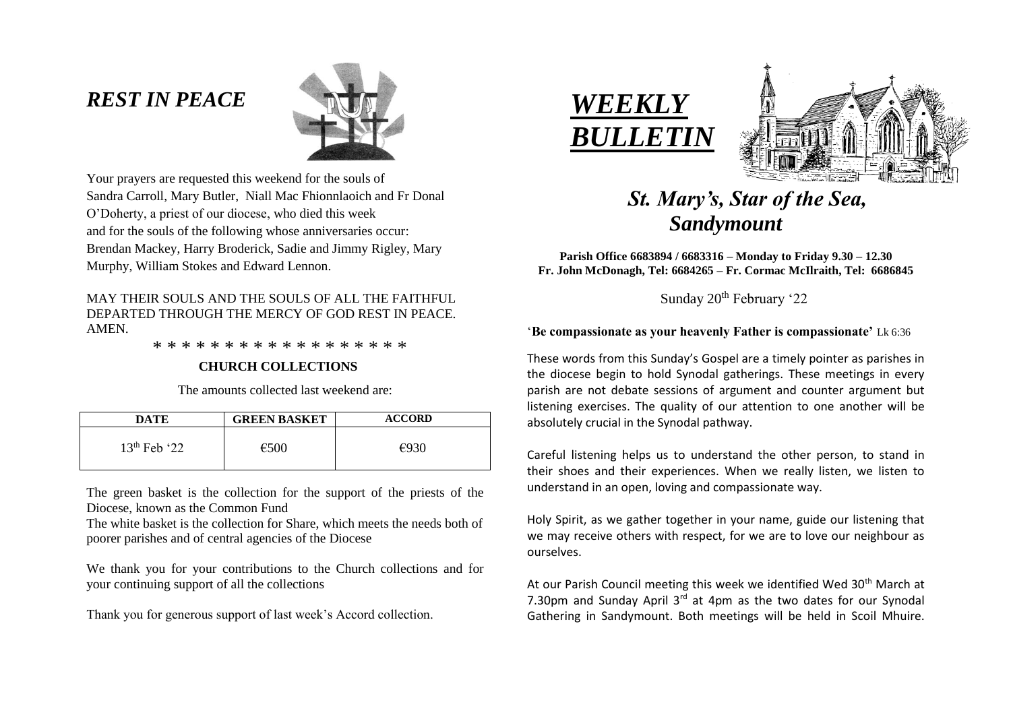# *REST IN PEACE*



Your prayers are requested this weekend for the souls of Sandra Carroll, Mary Butler, Niall Mac Fhionnlaoich and Fr Donal O'Doherty, a priest of our diocese, who died this week and for the souls of the following whose anniversaries occur: Brendan Mackey, Harry Broderick, Sadie and Jimmy Rigley, Mary Murphy, William Stokes and Edward Lennon.

### MAY THEIR SOULS AND THE SOULS OF ALL THE FAITHFUL DEPARTED THROUGH THE MERCY OF GOD REST IN PEACE. **AMEN**

\* \* \* \* \* \* \* \* \* \* \* \* \* \* \* \* \* \*

## **CHURCH COLLECTIONS**

The amounts collected last weekend are:

| DATE           | <b>GREEN BASKET</b> | <b>ACCORD</b> |
|----------------|---------------------|---------------|
| $13th$ Feb '22 | €500                | €930          |

The green basket is the collection for the support of the priests of the Diocese, known as the Common Fund

The white basket is the collection for Share, which meets the needs both of poorer parishes and of central agencies of the Diocese

We thank you for your contributions to the Church collections and for your continuing support of all the collections

Thank you for generous support of last week's Accord collection.





# *St. Mary's, Star of the Sea, Sandymount*

**Parish Office 6683894 / 6683316 – Monday to Friday 9.30 – 12.30 Fr. John McDonagh, Tel: 6684265 – Fr. Cormac McIlraith, Tel: 6686845**

Sunday 20<sup>th</sup> February '22

# '**Be compassionate as your heavenly Father is compassionate'** Lk 6:36

These words from this Sunday's Gospel are a timely pointer as parishes in the diocese begin to hold Synodal gatherings. These meetings in every parish are not debate sessions of argument and counter argument but listening exercises. The quality of our attention to one another will be absolutely crucial in the Synodal pathway.

Careful listening helps us to understand the other person, to stand in their shoes and their experiences. When we really listen, we listen to understand in an open, loving and compassionate way.

Holy Spirit, as we gather together in your name, guide our listening that we may receive others with respect, for we are to love our neighbour as ourselves.

At our Parish Council meeting this week we identified Wed 30<sup>th</sup> March at 7.30pm and Sunday April  $3^{rd}$  at 4pm as the two dates for our Synodal Gathering in Sandymount. Both meetings will be held in Scoil Mhuire.